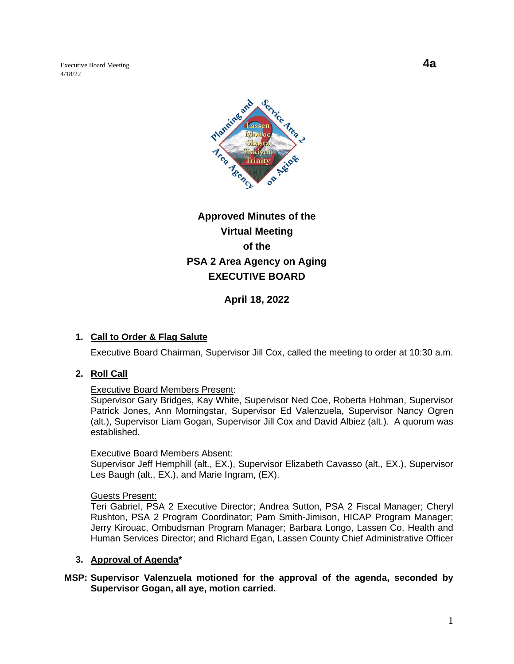Executive Board Meeting **4a** 4/18/22



# **Approved Minutes of the Virtual Meeting of the PSA 2 Area Agency on Aging EXECUTIVE BOARD**

**April 18, 2022**

## **1. Call to Order & Flag Salute**

Executive Board Chairman, Supervisor Jill Cox, called the meeting to order at 10:30 a.m.

## **2. Roll Call**

#### Executive Board Members Present:

Supervisor Gary Bridges, Kay White, Supervisor Ned Coe, Roberta Hohman, Supervisor Patrick Jones, Ann Morningstar, Supervisor Ed Valenzuela, Supervisor Nancy Ogren (alt.), Supervisor Liam Gogan, Supervisor Jill Cox and David Albiez (alt.). A quorum was established.

#### Executive Board Members Absent:

Supervisor Jeff Hemphill (alt., EX.), Supervisor Elizabeth Cavasso (alt., EX.), Supervisor Les Baugh (alt., EX.), and Marie Ingram, (EX).

#### Guests Present:

Teri Gabriel, PSA 2 Executive Director; Andrea Sutton, PSA 2 Fiscal Manager; Cheryl Rushton, PSA 2 Program Coordinator; Pam Smith-Jimison, HICAP Program Manager; Jerry Kirouac, Ombudsman Program Manager; Barbara Longo, Lassen Co. Health and Human Services Director; and Richard Egan, Lassen County Chief Administrative Officer

#### **3. Approval of Agenda\***

## **MSP: Supervisor Valenzuela motioned for the approval of the agenda, seconded by Supervisor Gogan, all aye, motion carried.**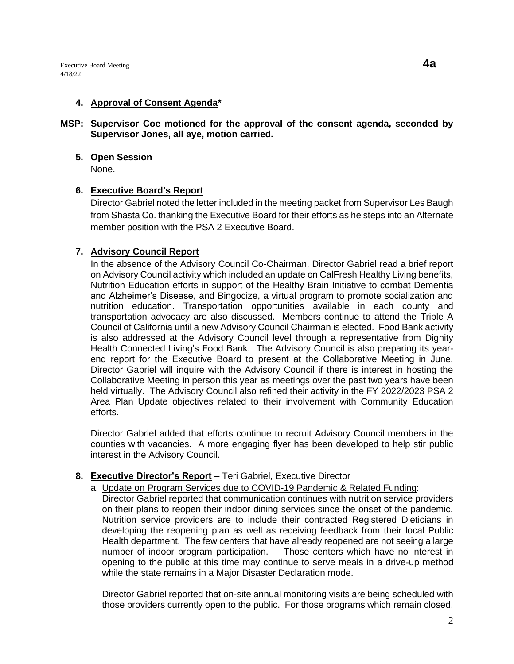Executive Board Meeting **4a**  $4/18/22$ 

#### **4. Approval of Consent Agenda\***

#### **MSP: Supervisor Coe motioned for the approval of the consent agenda, seconded by Supervisor Jones, all aye, motion carried.**

# **5. Open Session**

None.

# **6. Executive Board's Report**

Director Gabriel noted the letter included in the meeting packet from Supervisor Les Baugh from Shasta Co. thanking the Executive Board for their efforts as he steps into an Alternate member position with the PSA 2 Executive Board.

# **7. Advisory Council Report**

In the absence of the Advisory Council Co-Chairman, Director Gabriel read a brief report on Advisory Council activity which included an update on CalFresh Healthy Living benefits, Nutrition Education efforts in support of the Healthy Brain Initiative to combat Dementia and Alzheimer's Disease, and Bingocize, a virtual program to promote socialization and nutrition education. Transportation opportunities available in each county and transportation advocacy are also discussed. Members continue to attend the Triple A Council of California until a new Advisory Council Chairman is elected. Food Bank activity is also addressed at the Advisory Council level through a representative from Dignity Health Connected Living's Food Bank. The Advisory Council is also preparing its yearend report for the Executive Board to present at the Collaborative Meeting in June. Director Gabriel will inquire with the Advisory Council if there is interest in hosting the Collaborative Meeting in person this year as meetings over the past two years have been held virtually. The Advisory Council also refined their activity in the FY 2022/2023 PSA 2 Area Plan Update objectives related to their involvement with Community Education efforts.

Director Gabriel added that efforts continue to recruit Advisory Council members in the counties with vacancies. A more engaging flyer has been developed to help stir public interest in the Advisory Council.

## **8. Executive Director's Report –** Teri Gabriel, Executive Director

a. Update on Program Services due to COVID-19 Pandemic & Related Funding:

Director Gabriel reported that communication continues with nutrition service providers on their plans to reopen their indoor dining services since the onset of the pandemic. Nutrition service providers are to include their contracted Registered Dieticians in developing the reopening plan as well as receiving feedback from their local Public Health department. The few centers that have already reopened are not seeing a large number of indoor program participation. Those centers which have no interest in opening to the public at this time may continue to serve meals in a drive-up method while the state remains in a Major Disaster Declaration mode.

Director Gabriel reported that on-site annual monitoring visits are being scheduled with those providers currently open to the public. For those programs which remain closed,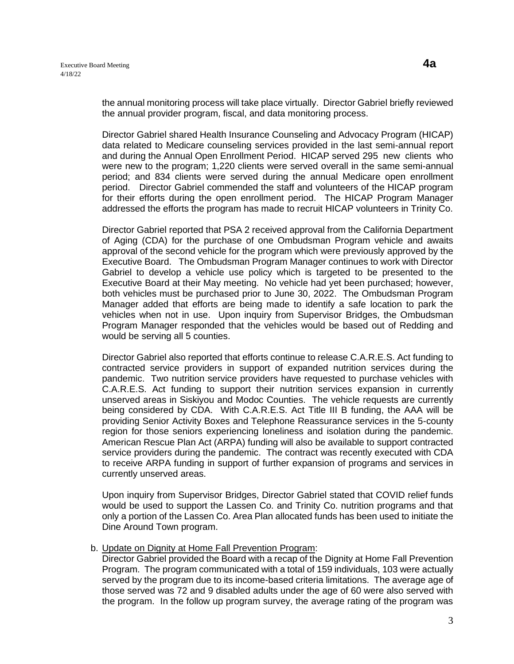the annual monitoring process will take place virtually. Director Gabriel briefly reviewed the annual provider program, fiscal, and data monitoring process.

Director Gabriel shared Health Insurance Counseling and Advocacy Program (HICAP) data related to Medicare counseling services provided in the last semi-annual report and during the Annual Open Enrollment Period. HICAP served 295 new clients who were new to the program; 1,220 clients were served overall in the same semi-annual period; and 834 clients were served during the annual Medicare open enrollment period. Director Gabriel commended the staff and volunteers of the HICAP program for their efforts during the open enrollment period. The HICAP Program Manager addressed the efforts the program has made to recruit HICAP volunteers in Trinity Co.

Director Gabriel reported that PSA 2 received approval from the California Department of Aging (CDA) for the purchase of one Ombudsman Program vehicle and awaits approval of the second vehicle for the program which were previously approved by the Executive Board. The Ombudsman Program Manager continues to work with Director Gabriel to develop a vehicle use policy which is targeted to be presented to the Executive Board at their May meeting. No vehicle had yet been purchased; however, both vehicles must be purchased prior to June 30, 2022. The Ombudsman Program Manager added that efforts are being made to identify a safe location to park the vehicles when not in use. Upon inquiry from Supervisor Bridges, the Ombudsman Program Manager responded that the vehicles would be based out of Redding and would be serving all 5 counties.

Director Gabriel also reported that efforts continue to release C.A.R.E.S. Act funding to contracted service providers in support of expanded nutrition services during the pandemic. Two nutrition service providers have requested to purchase vehicles with C.A.R.E.S. Act funding to support their nutrition services expansion in currently unserved areas in Siskiyou and Modoc Counties. The vehicle requests are currently being considered by CDA. With C.A.R.E.S. Act Title III B funding, the AAA will be providing Senior Activity Boxes and Telephone Reassurance services in the 5-county region for those seniors experiencing loneliness and isolation during the pandemic. American Rescue Plan Act (ARPA) funding will also be available to support contracted service providers during the pandemic. The contract was recently executed with CDA to receive ARPA funding in support of further expansion of programs and services in currently unserved areas.

Upon inquiry from Supervisor Bridges, Director Gabriel stated that COVID relief funds would be used to support the Lassen Co. and Trinity Co. nutrition programs and that only a portion of the Lassen Co. Area Plan allocated funds has been used to initiate the Dine Around Town program.

#### b. Update on Dignity at Home Fall Prevention Program:

Director Gabriel provided the Board with a recap of the Dignity at Home Fall Prevention Program. The program communicated with a total of 159 individuals, 103 were actually served by the program due to its income-based criteria limitations. The average age of those served was 72 and 9 disabled adults under the age of 60 were also served with the program. In the follow up program survey, the average rating of the program was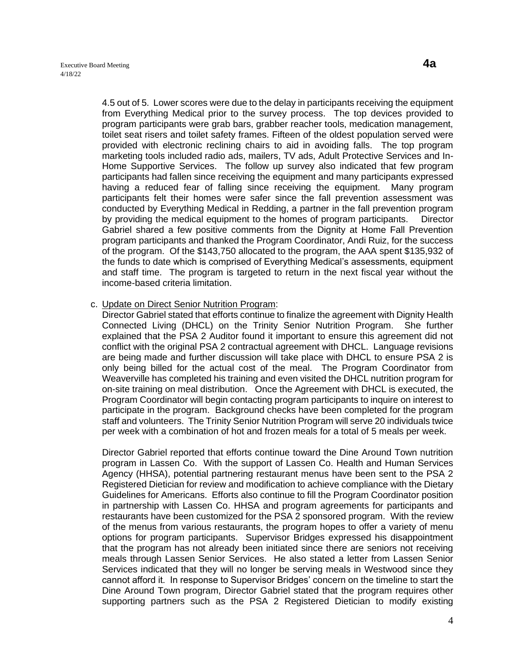4.5 out of 5. Lower scores were due to the delay in participants receiving the equipment from Everything Medical prior to the survey process. The top devices provided to program participants were grab bars, grabber reacher tools, medication management, toilet seat risers and toilet safety frames. Fifteen of the oldest population served were provided with electronic reclining chairs to aid in avoiding falls. The top program marketing tools included radio ads, mailers, TV ads, Adult Protective Services and In-Home Supportive Services. The follow up survey also indicated that few program participants had fallen since receiving the equipment and many participants expressed having a reduced fear of falling since receiving the equipment. Many program participants felt their homes were safer since the fall prevention assessment was conducted by Everything Medical in Redding, a partner in the fall prevention program by providing the medical equipment to the homes of program participants. Director Gabriel shared a few positive comments from the Dignity at Home Fall Prevention program participants and thanked the Program Coordinator, Andi Ruiz, for the success of the program. Of the \$143,750 allocated to the program, the AAA spent \$135,932 of the funds to date which is comprised of Everything Medical's assessments, equipment and staff time. The program is targeted to return in the next fiscal year without the income-based criteria limitation.

c. Update on Direct Senior Nutrition Program:

Director Gabriel stated that efforts continue to finalize the agreement with Dignity Health Connected Living (DHCL) on the Trinity Senior Nutrition Program. She further explained that the PSA 2 Auditor found it important to ensure this agreement did not conflict with the original PSA 2 contractual agreement with DHCL. Language revisions are being made and further discussion will take place with DHCL to ensure PSA 2 is only being billed for the actual cost of the meal. The Program Coordinator from Weaverville has completed his training and even visited the DHCL nutrition program for on-site training on meal distribution. Once the Agreement with DHCL is executed, the Program Coordinator will begin contacting program participants to inquire on interest to participate in the program. Background checks have been completed for the program staff and volunteers. The Trinity Senior Nutrition Program will serve 20 individuals twice per week with a combination of hot and frozen meals for a total of 5 meals per week.

Director Gabriel reported that efforts continue toward the Dine Around Town nutrition program in Lassen Co. With the support of Lassen Co. Health and Human Services Agency (HHSA), potential partnering restaurant menus have been sent to the PSA 2 Registered Dietician for review and modification to achieve compliance with the Dietary Guidelines for Americans. Efforts also continue to fill the Program Coordinator position in partnership with Lassen Co. HHSA and program agreements for participants and restaurants have been customized for the PSA 2 sponsored program. With the review of the menus from various restaurants, the program hopes to offer a variety of menu options for program participants. Supervisor Bridges expressed his disappointment that the program has not already been initiated since there are seniors not receiving meals through Lassen Senior Services. He also stated a letter from Lassen Senior Services indicated that they will no longer be serving meals in Westwood since they cannot afford it. In response to Supervisor Bridges' concern on the timeline to start the Dine Around Town program, Director Gabriel stated that the program requires other supporting partners such as the PSA 2 Registered Dietician to modify existing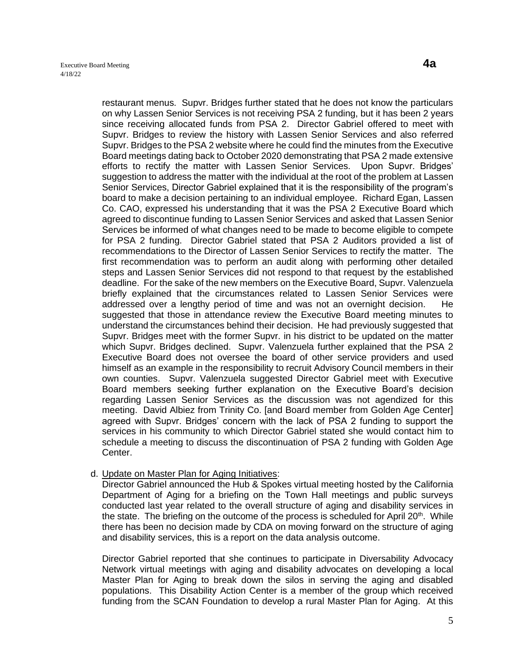restaurant menus. Supvr. Bridges further stated that he does not know the particulars on why Lassen Senior Services is not receiving PSA 2 funding, but it has been 2 years since receiving allocated funds from PSA 2. Director Gabriel offered to meet with Supvr. Bridges to review the history with Lassen Senior Services and also referred Supvr. Bridges to the PSA 2 website where he could find the minutes from the Executive Board meetings dating back to October 2020 demonstrating that PSA 2 made extensive efforts to rectify the matter with Lassen Senior Services. Upon Supvr. Bridges' suggestion to address the matter with the individual at the root of the problem at Lassen Senior Services, Director Gabriel explained that it is the responsibility of the program's board to make a decision pertaining to an individual employee. Richard Egan, Lassen Co. CAO, expressed his understanding that it was the PSA 2 Executive Board which agreed to discontinue funding to Lassen Senior Services and asked that Lassen Senior Services be informed of what changes need to be made to become eligible to compete for PSA 2 funding. Director Gabriel stated that PSA 2 Auditors provided a list of recommendations to the Director of Lassen Senior Services to rectify the matter. The first recommendation was to perform an audit along with performing other detailed steps and Lassen Senior Services did not respond to that request by the established deadline. For the sake of the new members on the Executive Board, Supvr. Valenzuela briefly explained that the circumstances related to Lassen Senior Services were addressed over a lengthy period of time and was not an overnight decision. He suggested that those in attendance review the Executive Board meeting minutes to understand the circumstances behind their decision. He had previously suggested that Supvr. Bridges meet with the former Supvr. in his district to be updated on the matter which Supvr. Bridges declined. Supvr. Valenzuela further explained that the PSA 2 Executive Board does not oversee the board of other service providers and used himself as an example in the responsibility to recruit Advisory Council members in their own counties. Supvr. Valenzuela suggested Director Gabriel meet with Executive Board members seeking further explanation on the Executive Board's decision regarding Lassen Senior Services as the discussion was not agendized for this meeting. David Albiez from Trinity Co. [and Board member from Golden Age Center] agreed with Supvr. Bridges' concern with the lack of PSA 2 funding to support the services in his community to which Director Gabriel stated she would contact him to schedule a meeting to discuss the discontinuation of PSA 2 funding with Golden Age Center.

## d. Update on Master Plan for Aging Initiatives:

Director Gabriel announced the Hub & Spokes virtual meeting hosted by the California Department of Aging for a briefing on the Town Hall meetings and public surveys conducted last year related to the overall structure of aging and disability services in the state. The briefing on the outcome of the process is scheduled for April  $20<sup>th</sup>$ . While there has been no decision made by CDA on moving forward on the structure of aging and disability services, this is a report on the data analysis outcome.

Director Gabriel reported that she continues to participate in Diversability Advocacy Network virtual meetings with aging and disability advocates on developing a local Master Plan for Aging to break down the silos in serving the aging and disabled populations. This Disability Action Center is a member of the group which received funding from the SCAN Foundation to develop a rural Master Plan for Aging. At this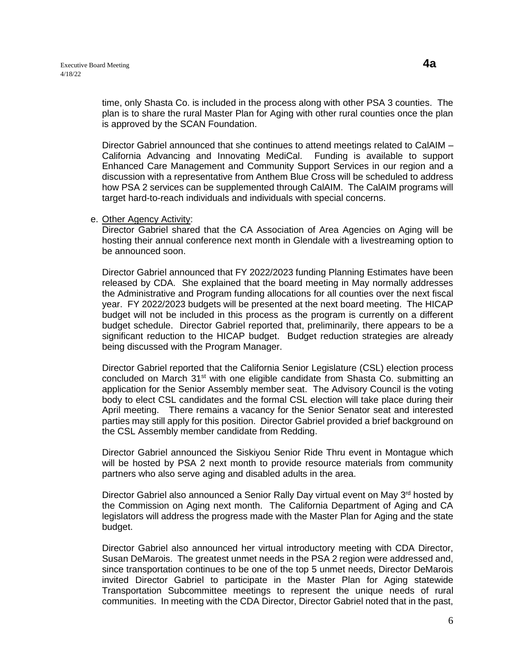time, only Shasta Co. is included in the process along with other PSA 3 counties. The plan is to share the rural Master Plan for Aging with other rural counties once the plan is approved by the SCAN Foundation.

Director Gabriel announced that she continues to attend meetings related to CalAIM – California Advancing and Innovating MediCal. Funding is available to support Enhanced Care Management and Community Support Services in our region and a discussion with a representative from Anthem Blue Cross will be scheduled to address how PSA 2 services can be supplemented through CalAIM. The CalAIM programs will target hard-to-reach individuals and individuals with special concerns.

#### e. Other Agency Activity:

Director Gabriel shared that the CA Association of Area Agencies on Aging will be hosting their annual conference next month in Glendale with a livestreaming option to be announced soon.

Director Gabriel announced that FY 2022/2023 funding Planning Estimates have been released by CDA. She explained that the board meeting in May normally addresses the Administrative and Program funding allocations for all counties over the next fiscal year. FY 2022/2023 budgets will be presented at the next board meeting. The HICAP budget will not be included in this process as the program is currently on a different budget schedule. Director Gabriel reported that, preliminarily, there appears to be a significant reduction to the HICAP budget. Budget reduction strategies are already being discussed with the Program Manager.

Director Gabriel reported that the California Senior Legislature (CSL) election process concluded on March  $31<sup>st</sup>$  with one eligible candidate from Shasta Co. submitting an application for the Senior Assembly member seat. The Advisory Council is the voting body to elect CSL candidates and the formal CSL election will take place during their April meeting. There remains a vacancy for the Senior Senator seat and interested parties may still apply for this position. Director Gabriel provided a brief background on the CSL Assembly member candidate from Redding.

Director Gabriel announced the Siskiyou Senior Ride Thru event in Montague which will be hosted by PSA 2 next month to provide resource materials from community partners who also serve aging and disabled adults in the area.

Director Gabriel also announced a Senior Rally Day virtual event on May 3<sup>rd</sup> hosted by the Commission on Aging next month. The California Department of Aging and CA legislators will address the progress made with the Master Plan for Aging and the state budget.

Director Gabriel also announced her virtual introductory meeting with CDA Director, Susan DeMarois. The greatest unmet needs in the PSA 2 region were addressed and, since transportation continues to be one of the top 5 unmet needs, Director DeMarois invited Director Gabriel to participate in the Master Plan for Aging statewide Transportation Subcommittee meetings to represent the unique needs of rural communities. In meeting with the CDA Director, Director Gabriel noted that in the past,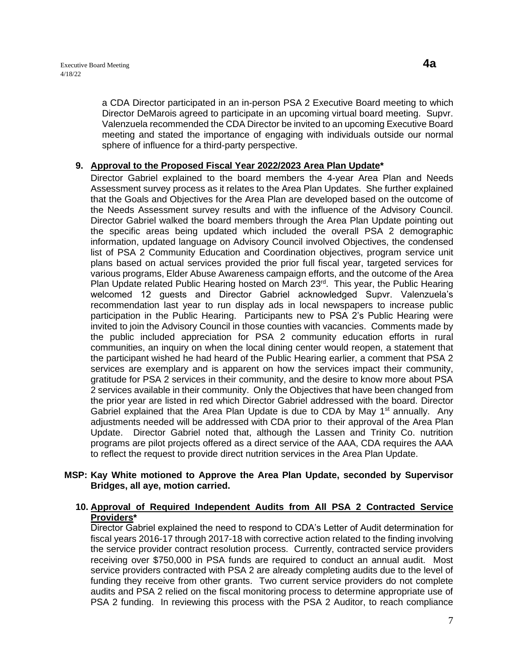a CDA Director participated in an in-person PSA 2 Executive Board meeting to which Director DeMarois agreed to participate in an upcoming virtual board meeting. Supvr. Valenzuela recommended the CDA Director be invited to an upcoming Executive Board meeting and stated the importance of engaging with individuals outside our normal sphere of influence for a third-party perspective.

## **9. Approval to the Proposed Fiscal Year 2022/2023 Area Plan Update\***

Director Gabriel explained to the board members the 4-year Area Plan and Needs Assessment survey process as it relates to the Area Plan Updates. She further explained that the Goals and Objectives for the Area Plan are developed based on the outcome of the Needs Assessment survey results and with the influence of the Advisory Council. Director Gabriel walked the board members through the Area Plan Update pointing out the specific areas being updated which included the overall PSA 2 demographic information, updated language on Advisory Council involved Objectives, the condensed list of PSA 2 Community Education and Coordination objectives, program service unit plans based on actual services provided the prior full fiscal year, targeted services for various programs, Elder Abuse Awareness campaign efforts, and the outcome of the Area Plan Update related Public Hearing hosted on March 23<sup>rd</sup>. This year, the Public Hearing welcomed 12 guests and Director Gabriel acknowledged Supvr. Valenzuela's recommendation last year to run display ads in local newspapers to increase public participation in the Public Hearing. Participants new to PSA 2's Public Hearing were invited to join the Advisory Council in those counties with vacancies. Comments made by the public included appreciation for PSA 2 community education efforts in rural communities, an inquiry on when the local dining center would reopen, a statement that the participant wished he had heard of the Public Hearing earlier, a comment that PSA 2 services are exemplary and is apparent on how the services impact their community, gratitude for PSA 2 services in their community, and the desire to know more about PSA 2 services available in their community. Only the Objectives that have been changed from the prior year are listed in red which Director Gabriel addressed with the board. Director Gabriel explained that the Area Plan Update is due to CDA by May  $1<sup>st</sup>$  annually. Any adjustments needed will be addressed with CDA prior to their approval of the Area Plan Update. Director Gabriel noted that, although the Lassen and Trinity Co. nutrition programs are pilot projects offered as a direct service of the AAA, CDA requires the AAA to reflect the request to provide direct nutrition services in the Area Plan Update.

## **MSP: Kay White motioned to Approve the Area Plan Update, seconded by Supervisor Bridges, all aye, motion carried.**

## **10. Approval of Required Independent Audits from All PSA 2 Contracted Service Providers\***

Director Gabriel explained the need to respond to CDA's Letter of Audit determination for fiscal years 2016-17 through 2017-18 with corrective action related to the finding involving the service provider contract resolution process. Currently, contracted service providers receiving over \$750,000 in PSA funds are required to conduct an annual audit. Most service providers contracted with PSA 2 are already completing audits due to the level of funding they receive from other grants. Two current service providers do not complete audits and PSA 2 relied on the fiscal monitoring process to determine appropriate use of PSA 2 funding. In reviewing this process with the PSA 2 Auditor, to reach compliance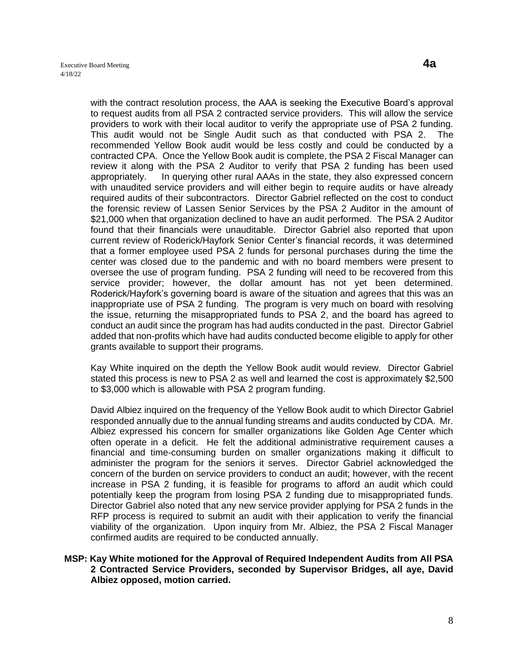with the contract resolution process, the AAA is seeking the Executive Board's approval to request audits from all PSA 2 contracted service providers. This will allow the service providers to work with their local auditor to verify the appropriate use of PSA 2 funding. This audit would not be Single Audit such as that conducted with PSA 2. The recommended Yellow Book audit would be less costly and could be conducted by a contracted CPA. Once the Yellow Book audit is complete, the PSA 2 Fiscal Manager can review it along with the PSA 2 Auditor to verify that PSA 2 funding has been used appropriately. In querying other rural AAAs in the state, they also expressed concern with unaudited service providers and will either begin to require audits or have already required audits of their subcontractors. Director Gabriel reflected on the cost to conduct the forensic review of Lassen Senior Services by the PSA 2 Auditor in the amount of \$21,000 when that organization declined to have an audit performed. The PSA 2 Auditor found that their financials were unauditable. Director Gabriel also reported that upon current review of Roderick/Hayfork Senior Center's financial records, it was determined that a former employee used PSA 2 funds for personal purchases during the time the center was closed due to the pandemic and with no board members were present to oversee the use of program funding. PSA 2 funding will need to be recovered from this service provider; however, the dollar amount has not yet been determined. Roderick/Hayfork's governing board is aware of the situation and agrees that this was an inappropriate use of PSA 2 funding. The program is very much on board with resolving the issue, returning the misappropriated funds to PSA 2, and the board has agreed to conduct an audit since the program has had audits conducted in the past. Director Gabriel added that non-profits which have had audits conducted become eligible to apply for other grants available to support their programs.

Kay White inquired on the depth the Yellow Book audit would review. Director Gabriel stated this process is new to PSA 2 as well and learned the cost is approximately \$2,500 to \$3,000 which is allowable with PSA 2 program funding.

David Albiez inquired on the frequency of the Yellow Book audit to which Director Gabriel responded annually due to the annual funding streams and audits conducted by CDA. Mr. Albiez expressed his concern for smaller organizations like Golden Age Center which often operate in a deficit. He felt the additional administrative requirement causes a financial and time-consuming burden on smaller organizations making it difficult to administer the program for the seniors it serves. Director Gabriel acknowledged the concern of the burden on service providers to conduct an audit; however, with the recent increase in PSA 2 funding, it is feasible for programs to afford an audit which could potentially keep the program from losing PSA 2 funding due to misappropriated funds. Director Gabriel also noted that any new service provider applying for PSA 2 funds in the RFP process is required to submit an audit with their application to verify the financial viability of the organization. Upon inquiry from Mr. Albiez, the PSA 2 Fiscal Manager confirmed audits are required to be conducted annually.

#### **MSP: Kay White motioned for the Approval of Required Independent Audits from All PSA 2 Contracted Service Providers, seconded by Supervisor Bridges, all aye, David Albiez opposed, motion carried.**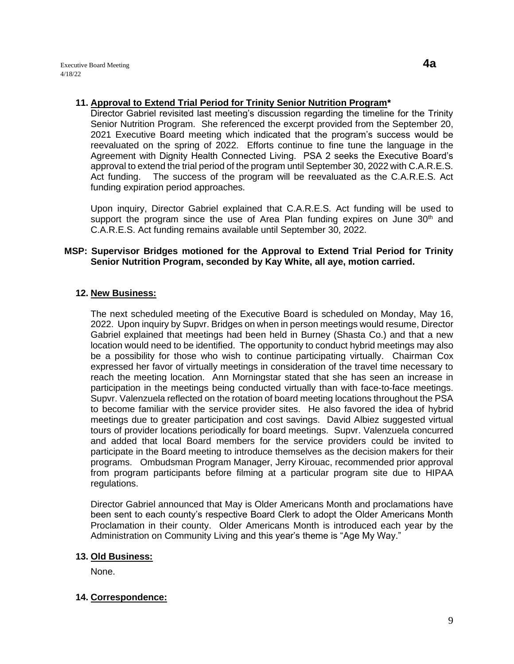## **11. Approval to Extend Trial Period for Trinity Senior Nutrition Program\***

Director Gabriel revisited last meeting's discussion regarding the timeline for the Trinity Senior Nutrition Program. She referenced the excerpt provided from the September 20, 2021 Executive Board meeting which indicated that the program's success would be reevaluated on the spring of 2022. Efforts continue to fine tune the language in the Agreement with Dignity Health Connected Living. PSA 2 seeks the Executive Board's approval to extend the trial period of the program until September 30, 2022 with C.A.R.E.S. Act funding. The success of the program will be reevaluated as the C.A.R.E.S. Act funding expiration period approaches.

Upon inquiry, Director Gabriel explained that C.A.R.E.S. Act funding will be used to support the program since the use of Area Plan funding expires on June  $30<sup>th</sup>$  and C.A.R.E.S. Act funding remains available until September 30, 2022.

## **MSP: Supervisor Bridges motioned for the Approval to Extend Trial Period for Trinity Senior Nutrition Program, seconded by Kay White, all aye, motion carried.**

## **12. New Business:**

The next scheduled meeting of the Executive Board is scheduled on Monday, May 16, 2022. Upon inquiry by Supvr. Bridges on when in person meetings would resume, Director Gabriel explained that meetings had been held in Burney (Shasta Co.) and that a new location would need to be identified. The opportunity to conduct hybrid meetings may also be a possibility for those who wish to continue participating virtually. Chairman Cox expressed her favor of virtually meetings in consideration of the travel time necessary to reach the meeting location. Ann Morningstar stated that she has seen an increase in participation in the meetings being conducted virtually than with face-to-face meetings. Supvr. Valenzuela reflected on the rotation of board meeting locations throughout the PSA to become familiar with the service provider sites. He also favored the idea of hybrid meetings due to greater participation and cost savings. David Albiez suggested virtual tours of provider locations periodically for board meetings. Supvr. Valenzuela concurred and added that local Board members for the service providers could be invited to participate in the Board meeting to introduce themselves as the decision makers for their programs. Ombudsman Program Manager, Jerry Kirouac, recommended prior approval from program participants before filming at a particular program site due to HIPAA regulations.

Director Gabriel announced that May is Older Americans Month and proclamations have been sent to each county's respective Board Clerk to adopt the Older Americans Month Proclamation in their county. Older Americans Month is introduced each year by the Administration on Community Living and this year's theme is "Age My Way."

## **13. Old Business:**

None.

## **14. Correspondence:**